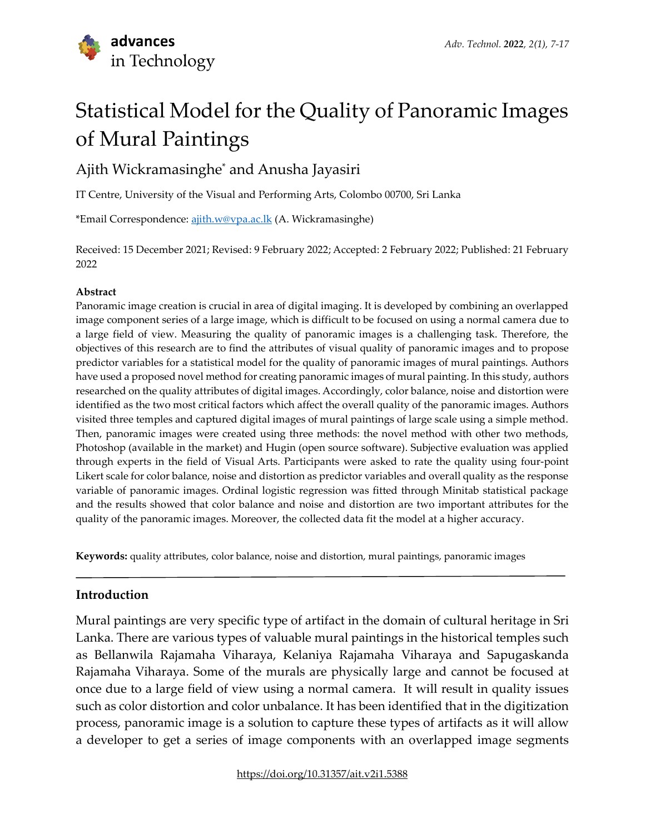# Statistical Model for the Quality of Panoramic Images of Mural Paintings

## Ajith Wickramasinghe\* and Anusha Jayasiri

IT Centre, University of the Visual and Performing Arts, Colombo 00700, Sri Lanka

\*Email Correspondence: [ajith.w@vpa.ac.lk](file:///E:/Research/Phd%20Degree/Journal%20Publication/Advances%20in%20Technology%20Journal%20%5bAIT-%20Japura%5d/Journal%20Publication/Submitted%20After%20Review/Final%20Published%20Version/aitfinalproofreadingbeforepublication/ajith.w@vpa.ac.lk) (A. Wickramasinghe)

Received: 15 December 2021; Revised: 9 February 2022; Accepted: 2 February 2022; Published: 21 February 2022

#### **Abstract**

Panoramic image creation is crucial in area of digital imaging. It is developed by combining an overlapped image component series of a large image, which is difficult to be focused on using a normal camera due to a large field of view. Measuring the quality of panoramic images is a challenging task. Therefore, the objectives of this research are to find the attributes of visual quality of panoramic images and to propose predictor variables for a statistical model for the quality of panoramic images of mural paintings. Authors have used a proposed novel method for creating panoramic images of mural painting. In this study, authors researched on the quality attributes of digital images. Accordingly, color balance, noise and distortion were identified as the two most critical factors which affect the overall quality of the panoramic images. Authors visited three temples and captured digital images of mural paintings of large scale using a simple method. Then, panoramic images were created using three methods: the novel method with other two methods, Photoshop (available in the market) and Hugin (open source software). Subjective evaluation was applied through experts in the field of Visual Arts. Participants were asked to rate the quality using four-point Likert scale for color balance, noise and distortion as predictor variables and overall quality as the response variable of panoramic images. Ordinal logistic regression was fitted through Minitab statistical package and the results showed that color balance and noise and distortion are two important attributes for the quality of the panoramic images. Moreover, the collected data fit the model at a higher accuracy.

**Keywords:** quality attributes, color balance, noise and distortion, mural paintings, panoramic images

## **Introduction**

Mural paintings are very specific type of artifact in the domain of cultural heritage in Sri Lanka. There are various types of valuable mural paintings in the historical temples such as Bellanwila Rajamaha Viharaya, Kelaniya Rajamaha Viharaya and Sapugaskanda Rajamaha Viharaya. Some of the murals are physically large and cannot be focused at once due to a large field of view using a normal camera. It will result in quality issues such as color distortion and color unbalance. It has been identified that in the digitization process, panoramic image is a solution to capture these types of artifacts as it will allow a developer to get a series of image components with an overlapped image segments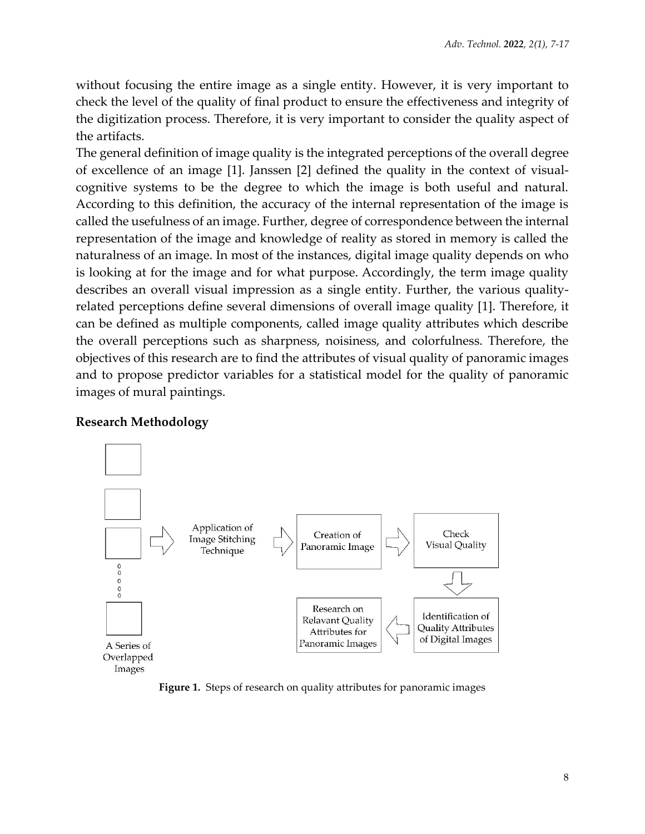without focusing the entire image as a single entity. However, it is very important to check the level of the quality of final product to ensure the effectiveness and integrity of the digitization process. Therefore, it is very important to consider the quality aspect of the artifacts.

The general definition of image quality is the integrated perceptions of the overall degree of excellence of an image [1]. Janssen [2] defined the quality in the context of visualcognitive systems to be the degree to which the image is both useful and natural. According to this definition, the accuracy of the internal representation of the image is called the usefulness of an image. Further, degree of correspondence between the internal representation of the image and knowledge of reality as stored in memory is called the naturalness of an image. In most of the instances, digital image quality depends on who is looking at for the image and for what purpose. Accordingly, the term image quality describes an overall visual impression as a single entity. Further, the various qualityrelated perceptions define several dimensions of overall image quality [1]. Therefore, it can be defined as multiple components, called image quality attributes which describe the overall perceptions such as sharpness, noisiness, and colorfulness. Therefore, the objectives of this research are to find the attributes of visual quality of panoramic images and to propose predictor variables for a statistical model for the quality of panoramic images of mural paintings.

## **Research Methodology**



**Figure 1.** Steps of research on quality attributes for panoramic images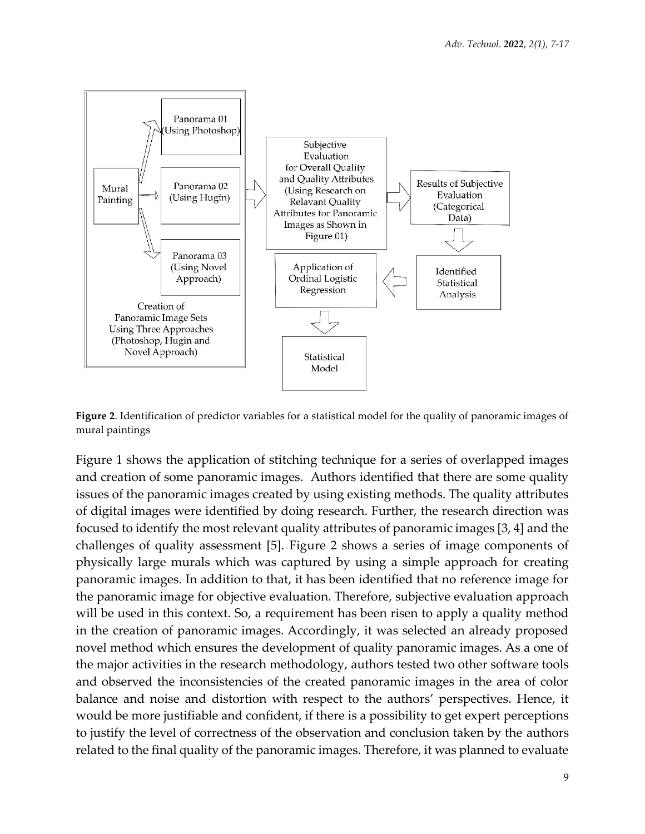

**Figure 2**. Identification of predictor variables for a statistical model for the quality of panoramic images of mural paintings

Figure 1 shows the application of stitching technique for a series of overlapped images and creation of some panoramic images. Authors identified that there are some quality issues of the panoramic images created by using existing methods. The quality attributes of digital images were identified by doing research. Further, the research direction was focused to identify the most relevant quality attributes of panoramic images [3, 4] and the challenges of quality assessment [5]. Figure 2 shows a series of image components of physically large murals which was captured by using a simple approach for creating panoramic images. In addition to that, it has been identified that no reference image for the panoramic image for objective evaluation. Therefore, subjective evaluation approach will be used in this context. So, a requirement has been risen to apply a quality method in the creation of panoramic images. Accordingly, it was selected an already proposed novel method which ensures the development of quality panoramic images. As a one of the major activities in the research methodology, authors tested two other software tools and observed the inconsistencies of the created panoramic images in the area of color balance and noise and distortion with respect to the authors' perspectives. Hence, it would be more justifiable and confident, if there is a possibility to get expert perceptions to justify the level of correctness of the observation and conclusion taken by the authors related to the final quality of the panoramic images. Therefore, it was planned to evaluate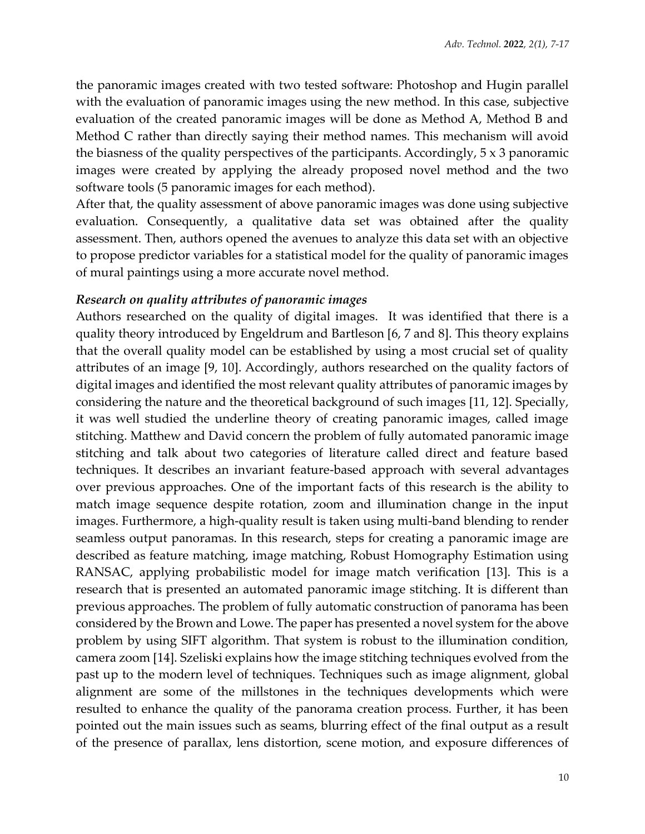the panoramic images created with two tested software: Photoshop and Hugin parallel with the evaluation of panoramic images using the new method. In this case, subjective evaluation of the created panoramic images will be done as Method A, Method B and Method C rather than directly saying their method names. This mechanism will avoid the biasness of the quality perspectives of the participants. Accordingly,  $5 \times 3$  panoramic images were created by applying the already proposed novel method and the two software tools (5 panoramic images for each method).

After that, the quality assessment of above panoramic images was done using subjective evaluation. Consequently, a qualitative data set was obtained after the quality assessment. Then, authors opened the avenues to analyze this data set with an objective to propose predictor variables for a statistical model for the quality of panoramic images of mural paintings using a more accurate novel method.

## *Research on quality attributes of panoramic images*

Authors researched on the quality of digital images. It was identified that there is a quality theory introduced by Engeldrum and Bartleson [6, 7 and 8]. This theory explains that the overall quality model can be established by using a most crucial set of quality attributes of an image [9, 10]. Accordingly, authors researched on the quality factors of digital images and identified the most relevant quality attributes of panoramic images by considering the nature and the theoretical background of such images [11, 12]. Specially, it was well studied the underline theory of creating panoramic images, called image stitching. Matthew and David concern the problem of fully automated panoramic image stitching and talk about two categories of literature called direct and feature based techniques. It describes an invariant feature-based approach with several advantages over previous approaches. One of the important facts of this research is the ability to match image sequence despite rotation, zoom and illumination change in the input images. Furthermore, a high-quality result is taken using multi-band blending to render seamless output panoramas. In this research, steps for creating a panoramic image are described as feature matching, image matching, Robust Homography Estimation using RANSAC, applying probabilistic model for image match verification [13]. This is a research that is presented an automated panoramic image stitching. It is different than previous approaches. The problem of fully automatic construction of panorama has been considered by the Brown and Lowe. The paper has presented a novel system for the above problem by using SIFT algorithm. That system is robust to the illumination condition, camera zoom [14]. Szeliski explains how the image stitching techniques evolved from the past up to the modern level of techniques. Techniques such as image alignment, global alignment are some of the millstones in the techniques developments which were resulted to enhance the quality of the panorama creation process. Further, it has been pointed out the main issues such as seams, blurring effect of the final output as a result of the presence of parallax, lens distortion, scene motion, and exposure differences of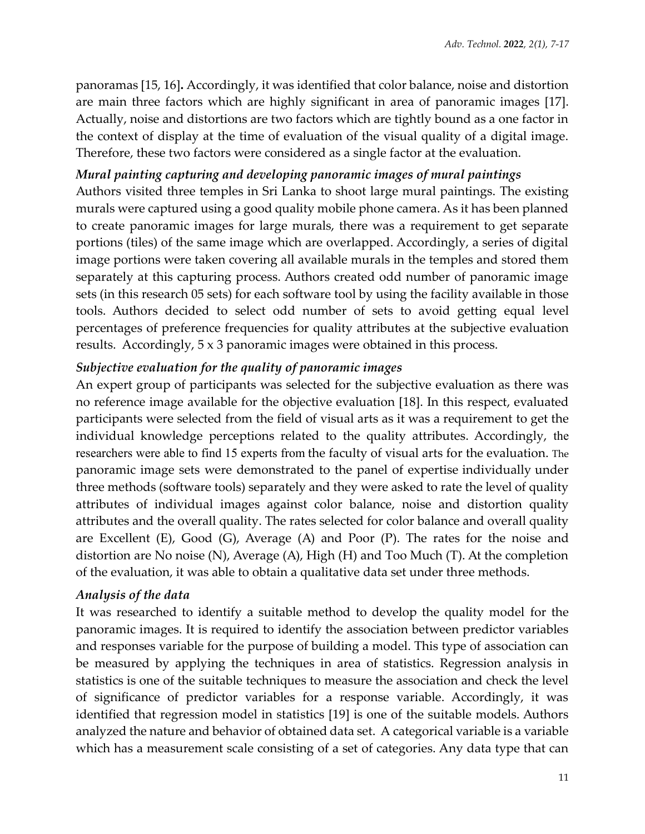panoramas [15, 16]**.** Accordingly, it was identified that color balance, noise and distortion are main three factors which are highly significant in area of panoramic images [17]. Actually, noise and distortions are two factors which are tightly bound as a one factor in the context of display at the time of evaluation of the visual quality of a digital image. Therefore, these two factors were considered as a single factor at the evaluation.

## *Mural painting capturing and developing panoramic images of mural paintings*

Authors visited three temples in Sri Lanka to shoot large mural paintings. The existing murals were captured using a good quality mobile phone camera. As it has been planned to create panoramic images for large murals, there was a requirement to get separate portions (tiles) of the same image which are overlapped. Accordingly, a series of digital image portions were taken covering all available murals in the temples and stored them separately at this capturing process. Authors created odd number of panoramic image sets (in this research 05 sets) for each software tool by using the facility available in those tools. Authors decided to select odd number of sets to avoid getting equal level percentages of preference frequencies for quality attributes at the subjective evaluation results. Accordingly, 5 x 3 panoramic images were obtained in this process.

## *Subjective evaluation for the quality of panoramic images*

An expert group of participants was selected for the subjective evaluation as there was no reference image available for the objective evaluation [18]. In this respect, evaluated participants were selected from the field of visual arts as it was a requirement to get the individual knowledge perceptions related to the quality attributes. Accordingly, the researchers were able to find 15 experts from the faculty of visual arts for the evaluation. The panoramic image sets were demonstrated to the panel of expertise individually under three methods (software tools) separately and they were asked to rate the level of quality attributes of individual images against color balance, noise and distortion quality attributes and the overall quality. The rates selected for color balance and overall quality are Excellent (E), Good (G), Average (A) and Poor (P). The rates for the noise and distortion are No noise (N), Average (A), High (H) and Too Much (T). At the completion of the evaluation, it was able to obtain a qualitative data set under three methods.

## *Analysis of the data*

It was researched to identify a suitable method to develop the quality model for the panoramic images. It is required to identify the association between predictor variables and responses variable for the purpose of building a model. This type of association can be measured by applying the techniques in area of statistics. Regression analysis in statistics is one of the suitable techniques to measure the association and check the level of significance of predictor variables for a response variable. Accordingly, it was identified that regression model in statistics [19] is one of the suitable models. Authors analyzed the nature and behavior of obtained data set. A categorical variable is a variable which has a measurement scale consisting of a set of categories. Any data type that can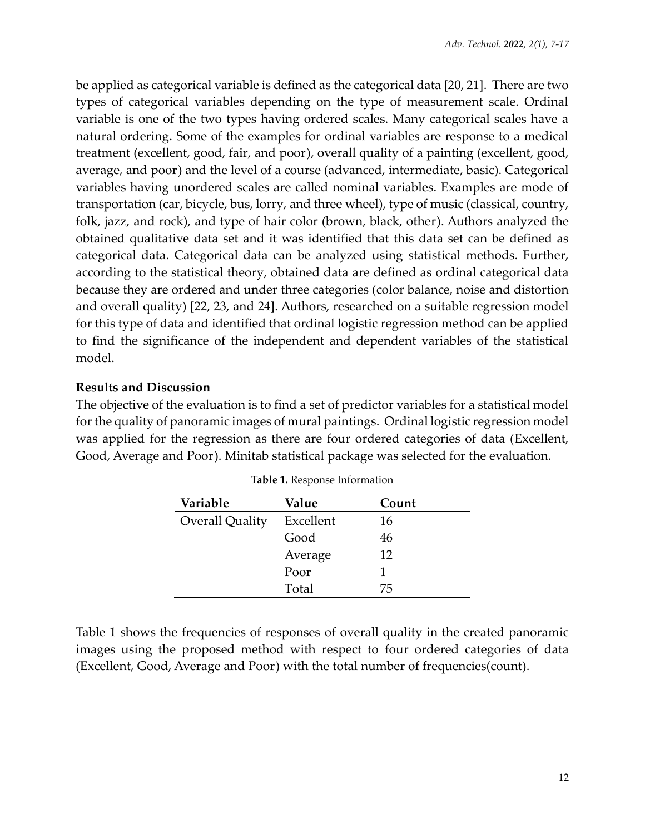be applied as categorical variable is defined as the categorical data [20, 21]. There are two types of categorical variables depending on the type of measurement scale. Ordinal variable is one of the two types having ordered scales. Many categorical scales have a natural ordering. Some of the examples for ordinal variables are response to a medical treatment (excellent, good, fair, and poor), overall quality of a painting (excellent, good, average, and poor) and the level of a course (advanced, intermediate, basic). Categorical variables having unordered scales are called nominal variables. Examples are mode of transportation (car, bicycle, bus, lorry, and three wheel), type of music (classical, country, folk, jazz, and rock), and type of hair color (brown, black, other). Authors analyzed the obtained qualitative data set and it was identified that this data set can be defined as categorical data. Categorical data can be analyzed using statistical methods. Further, according to the statistical theory, obtained data are defined as ordinal categorical data because they are ordered and under three categories (color balance, noise and distortion and overall quality) [22, 23, and 24]. Authors, researched on a suitable regression model for this type of data and identified that ordinal logistic regression method can be applied to find the significance of the independent and dependent variables of the statistical model.

## **Results and Discussion**

The objective of the evaluation is to find a set of predictor variables for a statistical model for the quality of panoramic images of mural paintings. Ordinal logistic regression model was applied for the regression as there are four ordered categories of data (Excellent, Good, Average and Poor). Minitab statistical package was selected for the evaluation.

| Variable        | Value     | Count |
|-----------------|-----------|-------|
| Overall Quality | Excellent | 16    |
|                 | Good      | 46    |
|                 | Average   | 12    |
|                 | Poor      |       |
|                 | Total     | 75    |

**Table 1.** Response Information

Table 1 shows the frequencies of responses of overall quality in the created panoramic images using the proposed method with respect to four ordered categories of data (Excellent, Good, Average and Poor) with the total number of frequencies(count).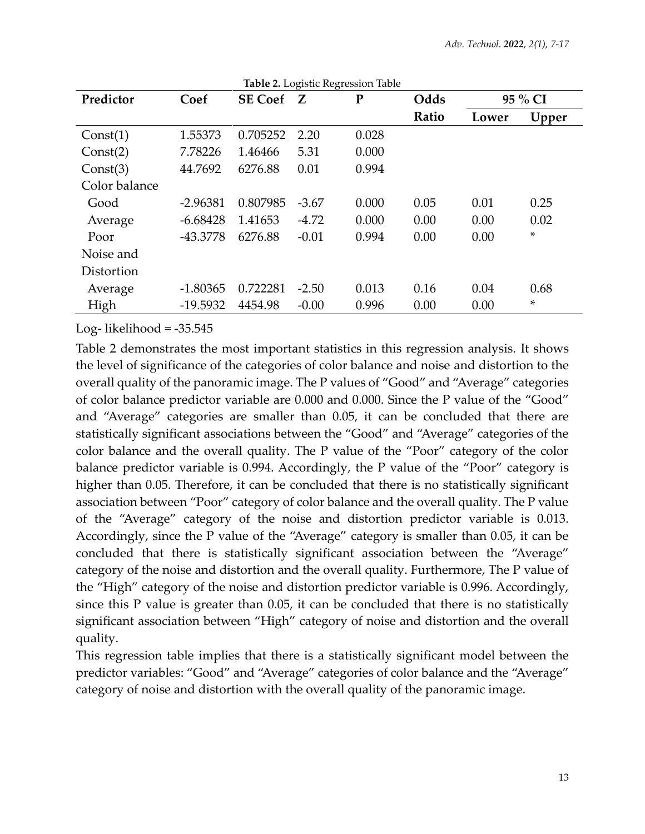| Predictor     | Coef       | <b>SE Coef</b> | Z       | ${\bf P}$ | Odds  | 95 % CI |       |
|---------------|------------|----------------|---------|-----------|-------|---------|-------|
|               |            |                |         |           | Ratio | Lower   | Upper |
| Const(1)      | 1.55373    | 0.705252       | 2.20    | 0.028     |       |         |       |
| Const(2)      | 7.78226    | 1.46466        | 5.31    | 0.000     |       |         |       |
| Const(3)      | 44.7692    | 6276.88        | 0.01    | 0.994     |       |         |       |
| Color balance |            |                |         |           |       |         |       |
| Good          | $-2.96381$ | 0.807985       | $-3.67$ | 0.000     | 0.05  | 0.01    | 0.25  |
| Average       | $-6.68428$ | 1.41653        | $-4.72$ | 0.000     | 0.00  | 0.00    | 0.02  |
| Poor          | $-43.3778$ | 6276.88        | $-0.01$ | 0.994     | 0.00  | 0.00    | *     |
| Noise and     |            |                |         |           |       |         |       |
| Distortion    |            |                |         |           |       |         |       |
| Average       | $-1.80365$ | 0.722281       | $-2.50$ | 0.013     | 0.16  | 0.04    | 0.68  |
| High          | $-19.5932$ | 4454.98        | $-0.00$ | 0.996     | 0.00  | 0.00    | *     |

Log-likelihood =  $-35.545$ 

Table 2 demonstrates the most important statistics in this regression analysis. It shows the level of significance of the categories of color balance and noise and distortion to the overall quality of the panoramic image. The P values of "Good" and "Average" categories of color balance predictor variable are 0.000 and 0.000. Since the P value of the "Good" and "Average" categories are smaller than 0.05, it can be concluded that there are statistically significant associations between the "Good" and "Average" categories of the color balance and the overall quality. The P value of the "Poor" category of the color balance predictor variable is 0.994. Accordingly, the P value of the "Poor" category is higher than 0.05. Therefore, it can be concluded that there is no statistically significant association between "Poor" category of color balance and the overall quality. The P value of the "Average" category of the noise and distortion predictor variable is 0.013. Accordingly, since the P value of the "Average" category is smaller than 0.05, it can be concluded that there is statistically significant association between the "Average" category of the noise and distortion and the overall quality. Furthermore, The P value of the "High" category of the noise and distortion predictor variable is 0.996. Accordingly, since this P value is greater than 0.05, it can be concluded that there is no statistically significant association between "High" category of noise and distortion and the overall quality.

This regression table implies that there is a statistically significant model between the predictor variables: "Good" and "Average" categories of color balance and the "Average" category of noise and distortion with the overall quality of the panoramic image.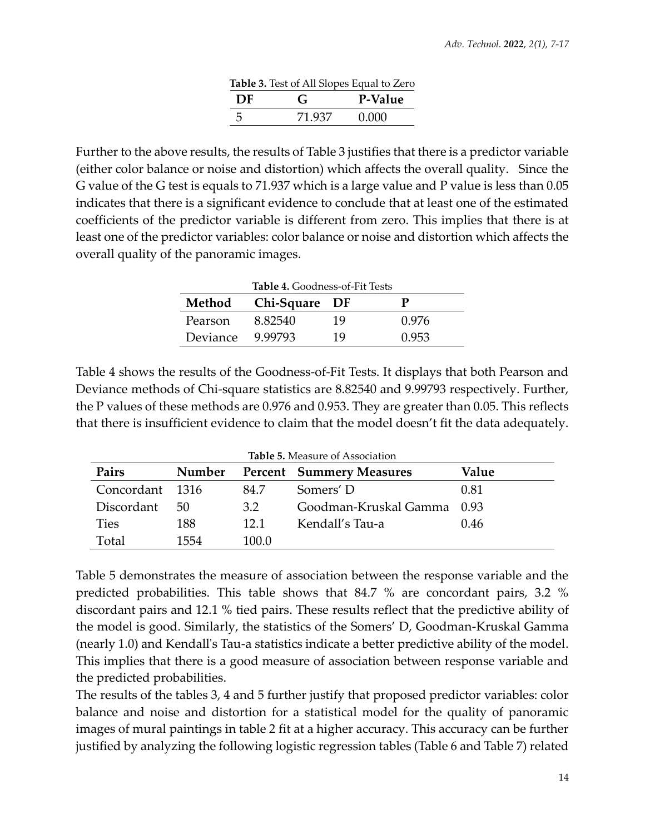| Table 3. Test of All Slopes Equal to Zero |        |         |  |  |  |
|-------------------------------------------|--------|---------|--|--|--|
| DF                                        | G      | P-Value |  |  |  |
|                                           | 71 937 | 0.000   |  |  |  |

Further to the above results, the results of Table 3 justifies that there is a predictor variable (either color balance or noise and distortion) which affects the overall quality. Since the G value of the G test is equals to 71.937 which is a large value and P value is less than 0.05 indicates that there is a significant evidence to conclude that at least one of the estimated coefficients of the predictor variable is different from zero. This implies that there is at least one of the predictor variables: color balance or noise and distortion which affects the overall quality of the panoramic images.

| <b>Table 4.</b> Goodness-of-Fit Tests |         |    |       |  |  |  |
|---------------------------------------|---------|----|-------|--|--|--|
| Chi-Square DF<br>Method               |         |    |       |  |  |  |
| Pearson                               | 8.82540 | 19 | 0.976 |  |  |  |
| Deviance                              | 9.99793 | 19 | 0.953 |  |  |  |

Table 4 shows the results of the Goodness-of-Fit Tests. It displays that both Pearson and Deviance methods of Chi-square statistics are 8.82540 and 9.99793 respectively. Further, the P values of these methods are 0.976 and 0.953. They are greater than 0.05. This reflects that there is insufficient evidence to claim that the model doesn't fit the data adequately.

| Pairs           | Number |       | <b>Percent</b> Summery Measures | Value |
|-----------------|--------|-------|---------------------------------|-------|
| Concordant 1316 |        | 84.7  | Somers' D                       | 0.81  |
| Discordant      | 50     | 3.2   | Goodman-Kruskal Gamma           | 0.93  |
| <b>Ties</b>     | 188    | 121   | Kendall's Tau-a                 | 0.46  |
| Total           | 1554   | 100.0 |                                 |       |

Table 5 demonstrates the measure of association between the response variable and the predicted probabilities. This table shows that 84.7 % are concordant pairs, 3.2 % discordant pairs and 12.1 % tied pairs. These results reflect that the predictive ability of the model is good. Similarly, the statistics of the Somers' D, Goodman-Kruskal Gamma (nearly 1.0) and Kendall's Tau-a statistics indicate a better predictive ability of the model. This implies that there is a good measure of association between response variable and the predicted probabilities.

The results of the tables 3, 4 and 5 further justify that proposed predictor variables: color balance and noise and distortion for a statistical model for the quality of panoramic images of mural paintings in table 2 fit at a higher accuracy. This accuracy can be further justified by analyzing the following logistic regression tables (Table 6 and Table 7) related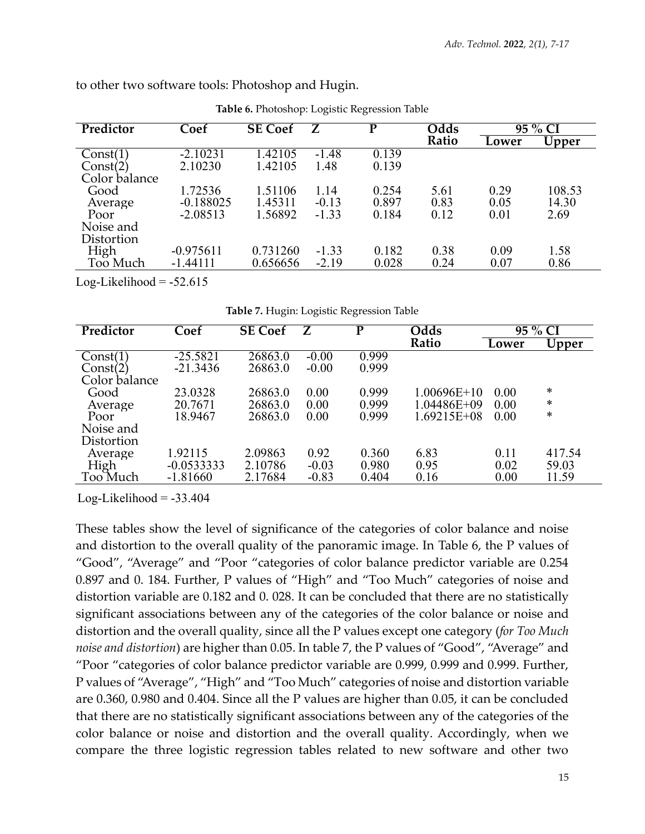| ◡<br>$\omega$ |             |                |         |       |       |         |        |
|---------------|-------------|----------------|---------|-------|-------|---------|--------|
| Predictor     | Coef        | <b>SE</b> Coef | Z       | D     | Odds  | 95 % CI |        |
|               |             |                |         |       | Ratio | Lower   | Upper  |
| Const(1)      | $-2.10231$  | 1.42105        | $-1.48$ | 0.139 |       |         |        |
| Const(2)      | 2.10230     | 1.42105        | 1.48    | 0.139 |       |         |        |
| Color balance |             |                |         |       |       |         |        |
| Good          | 1.72536     | 1.51106        | 1.14    | 0.254 | 5.61  | 0.29    | 108.53 |
| Average       | $-0.188025$ | 1.45311        | $-0.13$ | 0.897 | 0.83  | 0.05    | 14.30  |
| Poor          | $-2.08513$  | 1.56892        | $-1.33$ | 0.184 | 0.12  | 0.01    | 2.69   |
| Noise and     |             |                |         |       |       |         |        |
| Distortion    |             |                |         |       |       |         |        |
| High          | $-0.975611$ | 0.731260       | $-1.33$ | 0.182 | 0.38  | 0.09    | 1.58   |
| Too Much      | $-1.44111$  | 0.656656       | $-2.19$ | 0.028 | 0.24  | 0.07    | 0.86   |
|               |             |                |         |       |       |         |        |

to other two software tools: Photoshop and Hugin.

**Table 6.** Photoshop: Logistic Regression Table

Log-Likelihood  $= -52.615$ 

|  | Table 7. Hugin: Logistic Regression Table |  |
|--|-------------------------------------------|--|
|  |                                           |  |

| Predictor     | Coef         | <b>SE Coef</b> | Z       | D     | Odds          | 95 % CI |        |
|---------------|--------------|----------------|---------|-------|---------------|---------|--------|
|               |              |                |         |       | Ratio         | Lower   | Upper  |
| Const(1)      | $-25.5821$   | 26863.0        | $-0.00$ | 0.999 |               |         |        |
| Const(2)      | $-21.3436$   | 26863.0        | $-0.00$ | 0.999 |               |         |        |
| Color balance |              |                |         |       |               |         |        |
| Good          | 23.0328      | 26863.0        | 0.00    | 0.999 | $1.00696E+10$ | 0.00    | ∗      |
| Average       | 20.7671      | 26863.0        | 0.00    | 0.999 | 1.04486E+09   | 0.00    | $\ast$ |
| Poor          | 18.9467      | 26863.0        | 0.00    | 0.999 | 1.69215E+08   | 0.00    | *      |
| Noise and     |              |                |         |       |               |         |        |
| Distortion    |              |                |         |       |               |         |        |
| Average       | 1.92115      | 2.09863        | 0.92    | 0.360 | 6.83          | 0.11    | 417.54 |
| High          | $-0.0533333$ | 2.10786        | $-0.03$ | 0.980 | 0.95          | 0.02    | 59.03  |
| Too Much      | $-1.81660$   | 2.17684        | $-0.83$ | 0.404 | 0.16          | 0.00    | 11.59  |

Log-Likelihood  $= -33.404$ 

These tables show the level of significance of the categories of color balance and noise and distortion to the overall quality of the panoramic image. In Table 6, the P values of "Good", "Average" and "Poor "categories of color balance predictor variable are 0.254 0.897 and 0. 184. Further, P values of "High" and "Too Much" categories of noise and distortion variable are 0.182 and 0. 028. It can be concluded that there are no statistically significant associations between any of the categories of the color balance or noise and distortion and the overall quality, since all the P values except one category (*for Too Much noise and distortion*) are higher than 0.05. In table 7, the P values of "Good", "Average" and "Poor "categories of color balance predictor variable are 0.999, 0.999 and 0.999. Further, P values of "Average", "High" and "Too Much" categories of noise and distortion variable are 0.360, 0.980 and 0.404. Since all the P values are higher than 0.05, it can be concluded that there are no statistically significant associations between any of the categories of the color balance or noise and distortion and the overall quality. Accordingly, when we compare the three logistic regression tables related to new software and other two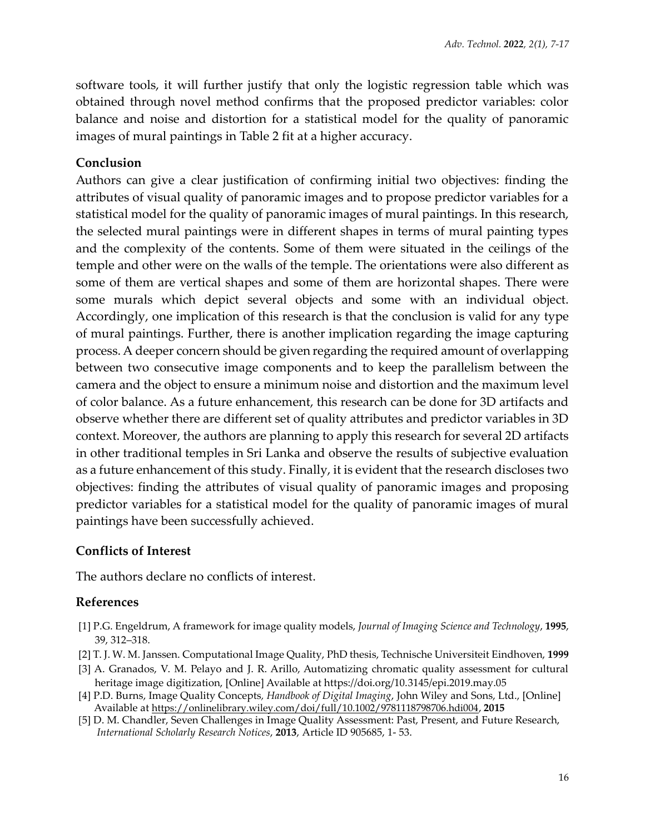software tools, it will further justify that only the logistic regression table which was obtained through novel method confirms that the proposed predictor variables: color balance and noise and distortion for a statistical model for the quality of panoramic images of mural paintings in Table 2 fit at a higher accuracy.

## **Conclusion**

Authors can give a clear justification of confirming initial two objectives: finding the attributes of visual quality of panoramic images and to propose predictor variables for a statistical model for the quality of panoramic images of mural paintings. In this research, the selected mural paintings were in different shapes in terms of mural painting types and the complexity of the contents. Some of them were situated in the ceilings of the temple and other were on the walls of the temple. The orientations were also different as some of them are vertical shapes and some of them are horizontal shapes. There were some murals which depict several objects and some with an individual object. Accordingly, one implication of this research is that the conclusion is valid for any type of mural paintings. Further, there is another implication regarding the image capturing process. A deeper concern should be given regarding the required amount of overlapping between two consecutive image components and to keep the parallelism between the camera and the object to ensure a minimum noise and distortion and the maximum level of color balance. As a future enhancement, this research can be done for 3D artifacts and observe whether there are different set of quality attributes and predictor variables in 3D context. Moreover, the authors are planning to apply this research for several 2D artifacts in other traditional temples in Sri Lanka and observe the results of subjective evaluation as a future enhancement of this study. Finally, it is evident that the research discloses two objectives: finding the attributes of visual quality of panoramic images and proposing predictor variables for a statistical model for the quality of panoramic images of mural paintings have been successfully achieved.

## **Conflicts of Interest**

The authors declare no conflicts of interest.

## **References**

- [1] P.G. Engeldrum, A framework for image quality models, *Journal of Imaging Science and Technology*, **1995**, 39, 312–318.
- [2] T. J. W. M. Janssen. Computational Image Quality, PhD thesis, Technische Universiteit Eindhoven, **1999**
- [3] A. Granados, V. M. Pelayo and J. R. Arillo, Automatizing chromatic quality assessment for cultural heritage image digitization, [Online] Available at https://doi.org/10.3145/epi.2019.may.05
- [4] P.D. Burns, Image Quality Concepts*, Handbook of Digital Imaging*, John Wiley and Sons, Ltd., [Online] Available at [https://onlinelibrary.wiley.com/doi/full/10.1002/9781118798706.hdi004,](https://onlinelibrary.wiley.com/doi/full/10.1002/9781118798706.hdi004) **2015**
- [5] D. M. Chandler, Seven Challenges in Image Quality Assessment: Past, Present, and Future Research,  *International Scholarly Research Notices*, **2013**, Article ID 905685, 1- 53.